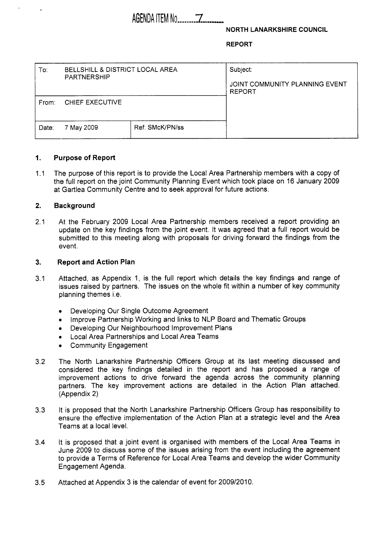# AGENDA ITEM No -------.

**NORTH LANARKSHIRE COUNCIL** 

**REPORT** 

| To:   | BELLSHILL & DISTRICT LOCAL AREA<br><b>PARTNERSHIP</b> |                 | Subject:<br>JOINT COMMUNITY PLANNING EVENT<br><b>REPORT</b> |  |  |  |
|-------|-------------------------------------------------------|-----------------|-------------------------------------------------------------|--|--|--|
| From: | <b>CHIEF EXECUTIVE</b>                                |                 |                                                             |  |  |  |
| Date: | 7 May 2009                                            | Ref. SMcK/PN/ss |                                                             |  |  |  |

#### **1. Purpose of Report**

**1 .I**  The purpose of this report is to provide the Local Area Partnership members with a copy of the full report on the joint Community Planning Event which took place on **16** January **2009**  at Gartlea Community Centre and to seek approval for future actions.

#### **2. Background**

**2.1**  At the February **2009** Local Area Partnership members received a report providing an update on the key findings from the joint event. It was agreed that a full report would be submitted to this meeting along with proposals for driving forward the findings from the event.

#### **3. Report and Action Plan**

- **3.1**  Attached, as Appendix **1,** is the full report which details the key findings and range of issues raised by partners. The issues on the whole fit within a number of key community planning themes i.e.
	- Developing Our Single Outcome Agreement
	- Improve Partnership Working and links to NLP Board and Thematic Groups
	- Developing Our Neighbourhood Improvement Plans  $\bullet$
	- Local Area Partnerships and Local Area Teams
	- Community Engagement
- **3.2**  The North Lanarkshire Partnership Officers Group at its last meeting discussed and considered the key findings detailed in the report and has proposed a range of improvement actions to drive forward the agenda across the community planning partners. The key improvement actions are detailed in the Action Plan attached. (Appendix **2)**
- **3.3**  It is proposed that the North Lanarkshire Partnership Officers Group has responsibility to ensure the effective implementation of the Action Plan at a strategic level and the Area Teams at a local level.
- **3.4**  It is proposed that a joint event is organised with members of the Local Area Teams in June **2009** to discuss some of the issues arising from the event including the agreement to provide a Terms of Reference for Local Area Teams and develop the wider Community Engagement Agenda.
- **3.5**  Attached at Appendix **3** is the calendar of event for **2009/2010.**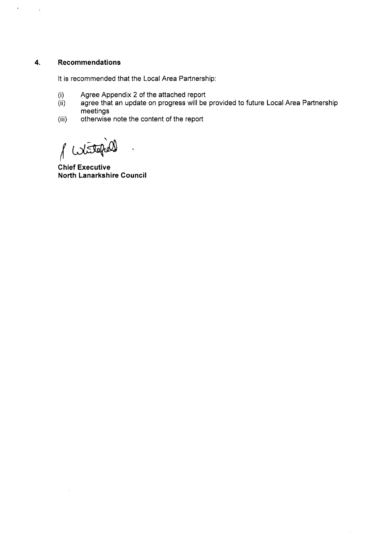# **4. Recommendations**

 $\mathbf{r}$ 

 $\bar{\bar{1}}$ 

It is recommended that the Local Area Partnership:

- (i) Agree Appendix 2 of the attached report
- $(ii)$ agree that an update on progress will be provided to future Local Area Partnership meetings
- (iii) otherwise note the content of the report

Witte

**Chief Executive North Lanarkshire Council**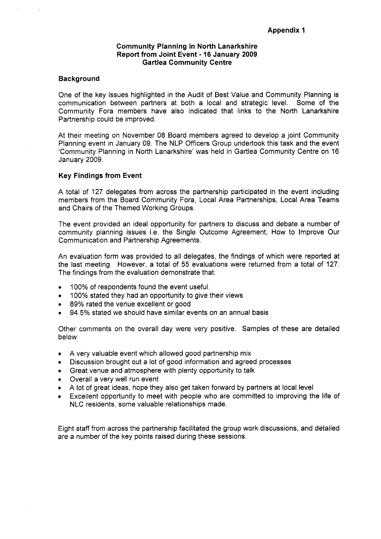#### **Community Planning in North Lanarkshire Report from Joint Event** - **16 January 2009 Gartlea Community Centre**

#### **Background**

One of the key issues highlighted in the Audit of Best Value and Community Planning is communication between partners at both a local and strategic level. Some of the Community Fora members have also indicated that links to the North Lanarkshire Partnership could be improved.

At their meeting on November 08 Board members agreed to develop a joint Community Planning event in January 09. The NLP Officers Group undertook this task and the event 'Community Planning in North Lanarkshire' was held in Gartlea Community Centre on 16 January 2009.

#### **Key Findings from Event**

A total of 127 delegates from across the partnership participated in the event including members from the Board Community Fora, Local Area Partnerships, Local Area Teams and Chairs of the Themed Working Groups.

The event provided an ideal opportunity for partners to discuss and debate a number of community planning issues i.e. the Single Outcome Agreement, How to Improve Our Communication and Partnership Agreements.

An evaluation form was provided to all delegates, the findings of which were reported at the last meeting. However, a total of *55* evaluations were returned from a total of 127. The findings from the evaluation demonstrate that:

- *0*  100% of respondents found the event useful
- *0*  100% stated they had an opportunity to give their views
- *0*  89% rated the venue excellent or good
- *0*  94.5% stated we should have similar events on an annual basis

Other comments on the overall day were very positive. Samples of these are detailed below:

- *0*  A very valuable event which allowed good partnership mix
- Discussion brought out a lot of good information and agreed processes
- Great venue and atmosphere with plenty opportunity to talk  $\bullet$
- *0*  Overall a very well run event
- A lot of great ideas, hope they also get taken forward by partners at local level
- Excellent opportunity to meet with people who are committed to improving the life of  $\bullet$ NLC residents, some valuable relationships made.

Eight staff from across the partnership facilitated the group work discussions, and detailed are a number of the key points raised during these sessions.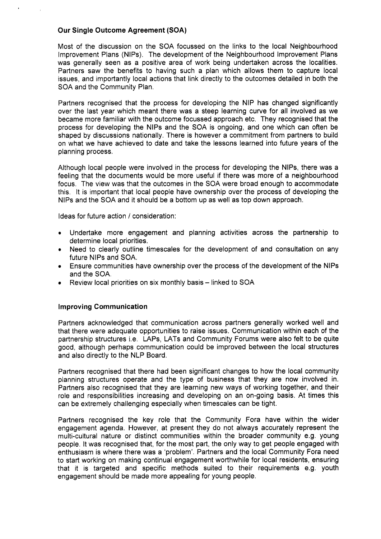## **Our Single Outcome Agreement (SOA)**

Most of the discussion on the SOA focussed on the links to the local Neighbourhood Improvement Plans (NIPs). The development of the Neighbourhood Improvement Plans was generally seen as a positive area of work being undertaken across the localities. Partners saw the benefits to having such a plan which allows them to capture local issues, and importantly local actions that link directly to the outcomes detailed in both the SOA and the Community Plan.

Partners recognised that the process for developing the NIP has changed significantly over the last year which meant there was a steep learning curve for all involved as we became more familiar with the outcome focussed approach etc. They recognised that the process for developing the NIPS and the SOA is ongoing, and one which can often be shaped by discussions nationally. There is however a commitment from partners to build on what we have achieved to date and take the lessons learned into future years of the planning process.

Although local people were involved in the process for developing the NIPs, there was a feeling that the documents would be more useful if there was more of a neighbourhood focus. The view was that the outcomes in the SOA were broad enough to accommodate this. It is important that local people have ownership over the process of developing the NIPS and the SOA and it should be a bottom up as well as top down approach.

Ideas for future action / consideration:

- *<sup>0</sup>*Undertake more engagement and planning activities across the partnership to determine local priorities.
- *0* Need to clearly outline timescales for the development of and consultation on any future NIPS and SOA.
- Ensure communities have ownership over the process of the development of the NIPS and the SOA.
- Review local priorities on six monthly basis linked to SOA

#### **Improving Communication**

Partners acknowledged that communication across partners generally worked well and that there were adequate opportunities to raise issues. Communication within each of the partnership structures i.e. LAPS, LATs and Community Forums were also felt to be quite good, although perhaps communication could be improved between the local structures and also directly to the NLP Board.

Partners recognised that there had been significant changes to how the local community planning structures operate and the type of business that they are now involved in. Partners also recognised that they are learning new ways of working together, and their role and responsibilities increasing and developing on an on-going basis. **At** times this can be extremely challenging especially when timescales can be tight.

Partners recognised the key role that the Community Fora have within the wider engagement agenda. However, at present they do not always accurately represent the multi-cultural nature or distinct communities within the broader community e.g. young people. It was recognised that, for the most part, the only way to get people engaged with enthusiasm is where there was a 'problem'. Partners and the local Community Fora need to start working on making continual engagement worthwhile for local residents, ensuring that it is targeted and specific methods suited to their requirements e.g. youth engagement should be made more appealing for young people.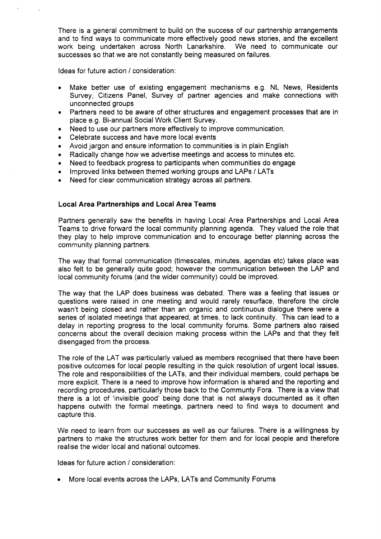There is a general commitment to build on the success of our partnership arrangements and to find ways to communicate more effectively good news stories, and the excellent work being undertaken across North Lanarkshire. We need to communicate our successes so that we are not constantly being measured on failures.

Ideas for future action / consideration:

- Make better use of existing engagement mechanisms e.g. NL News, Residents  $\bullet$ Survey, Citizens Panel, Survey of partner agencies and make connections with unconnected groups
- Partners need to be aware of other structures and engagement processes that are in  $\bullet$ place e.g. Bi-annual Social Work Client Survey.
- Need to use our partners more effectively to improve communication.  $\bullet$
- Celebrate success and have more local events  $\bullet$
- Avoid jargon and ensure information to communities is in plain English ×
- Radically change how we advertise meetings and access to minutes etc.  $\bullet$
- Need to feedback progress to participants when communities do engage  $\bullet$
- Improved links between themed working groups and LAPs / LATs
- Need for clear communication strategy across all partners.

#### **Local Area Partnerships and Local Area Teams**

Partners generally saw the benefits in having Local Area Partnerships and Local Area Teams to drive forward the local community planning agenda. They valued the role that they play to help improve communication and to encourage better planning across the community planning partners.

The way that formal communication (timescales, minutes, agendas etc) takes place was also felt to be generally quite good; however the communication between the LAP and local community forums (and the wider community) could be improved.

The way that the LAP does business was debated. There was a feeling that issues or questions were raised in one meeting and would rarely resurface, therefore the circle wasn't being closed and rather than an organic and continuous dialogue there were a series of isolated meetings that appeared, at times, to lack continuity. This can lead to a delay in reporting progress to the local community forums. Some partners also raised concerns about the overall decision making process within the LAPs and that they felt disengaged from the process.

The role of the LAT was particularly valued as members recognised that there have been positive outcomes for local people resulting in the quick resolution of urgent local issues. The role and responsibilities of the LATs, and their individual members, could perhaps be more explicit. There is a need to improve how information is shared and the reporting and recording procedures, particularly those back to the Communty Fora. There is a view that there is a lot of 'invisible good' being done that is not always documented as it often happens outwith the formal meetings, partners need to find ways to document and capture this.

We need to learn from our successes as well as our failures. There is a willingness by partners to make the structures work better for them and for local people and therefore realise the wider local and national outcomes.

Ideas for future action / consideration:

More local events across the LAPs, LATs and Community Forums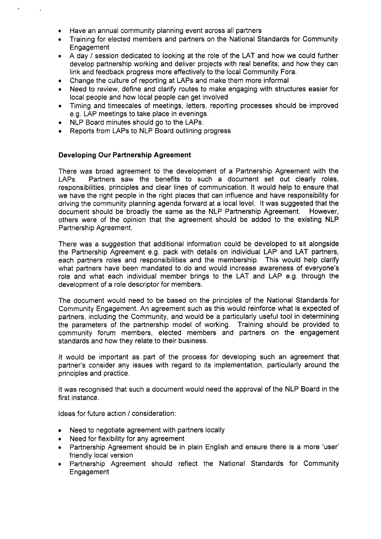- **e**  Have an annual community planning event across all partners
- *0*  Training for elected members and partners on the National Standards for Community **Engagement**
- **e**  A day / session dedicated to looking at the role of the LAT and how we could further develop partnership working and deliver projects with real benefits; and how they can link and feedback progress more effectively to the local Community Fora.
- **e**  Change the culture of reporting at LAPs and make them more informal
- **e**  Need to review, define and clarify routes to make engaging with structures easier for local people and how local people can get involved
- **e**  Timing and timescales of meetings, letters, reporting processes should be improved e.g. LAP meetings to take place in evenings.
- **e**  NLP Board minutes should go to the LAPs.
- **e**  Reports from LAPs to NLP Board outlining progress

### **Developing Our Partnership Agreement**

There was broad agreement to the development of a Partnership Agreement with the LAPs. Partners saw the benefits to such a document set out clearly roles, responsibilities, principles and clear lines of communication. It would help to ensure that we have the right people in the right places that can influence and have responsibility for driving the community planning agenda forward at a local level. It was suggested that the document should be broadly the same as the NLP Partnership Agreement. However, others were of the opinion that the agreement should be added to the existing NLP Partnership Agreement.

There was a suggestion that additional information could be developed to sit alongside the Partnership Agreement e.g. pack with details on individual LAP and LAT partners, each partners roles and responsibilities and the membership. This would help clarify what partners have been mandated to do and would increase awareness of everyone's role and what each individual member brings to the LAT and LAP e.g. through the development of a role descriptor for members.

The document would need to be based on the principles of the National Standards for Community Engagement. An agreement such as this would reinforce what is expected of partners, including the Community, and would be a particularly useful tool in determining the parameters of the partnership model of working. Training should be provided to community forum members, elected members and partners on the engagement standards and how they relate to their business.

It would be important as part of the process for developing such an agreement that partner's consider any issues with regard to its implementation, particularly around the principles and practice.

It was recognised that such a document would need the approval of the NLP Board in the first instance.

Ideas for future action / consideration:

- Need to negotiate agreement with partners locally  $\bullet$
- **e** Need for flexibility for any agreement
- **e** Partnership Agreement should be in plain English and ensure there is a more 'user' friendly local version
- **e** Partnership Agreement should reflect the National Standards for Community Engagement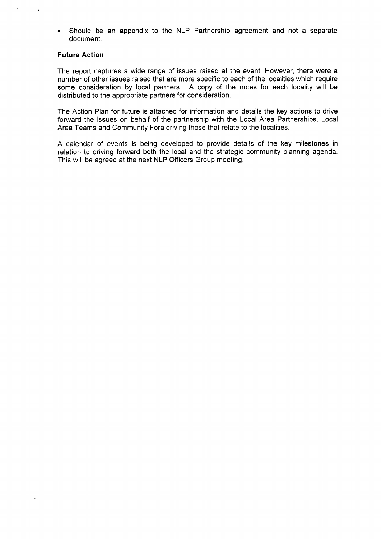Should be an appendix to the NLP Partnership agreement and not a separate document.

### **Future Action**

The report captures a wide range of issues raised at the event. However, there were a number of other issues raised that are more specific to each of the localities which require some consideration by local partners. A copy of the notes for each locality will be distributed to the appropriate partners for consideration.

The Action Plan for future is attached for information and details the key actions to drive forward the issues on behalf of the partnership with the Local Area Partnerships, Local Area Teams and Community Fora driving those that relate to the localities.

A calendar of events is being developed to provide details of the key milestones in relation to driving forward both the local and the strategic community planning agenda. This will be agreed at the next NLP Officers Group meeting.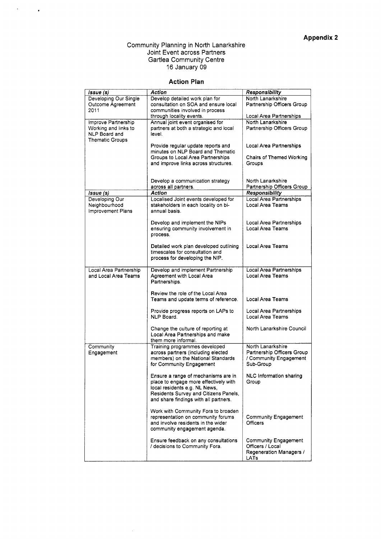#### Community Planning in North Lanarkshire Joint Event across Partners Gartlea Community Centre 16 January 09

 $\mathcal{F}^{\text{max}}_{\text{max}}$ 

### **Action Plan**

| Issue (s)              | Action                                 | Responsibility                  |  |  |  |
|------------------------|----------------------------------------|---------------------------------|--|--|--|
| Developing Our Single  | Develop detailed work plan for         | North Lanarkshire               |  |  |  |
| Outcome Agreement      | consultation on SOA and ensure local   | Partnership Officers Group      |  |  |  |
| 2011                   | communities involved in process        |                                 |  |  |  |
|                        | through locality events.               | Local Area Partnerships         |  |  |  |
| Improve Partnership    | Annual joint event organised for       | North Lanarkshire               |  |  |  |
| Working and links to   | partners at both a strategic and local | Partnership Officers Group      |  |  |  |
| NLP Board and          | level.                                 |                                 |  |  |  |
| <b>Thematic Groups</b> |                                        |                                 |  |  |  |
|                        | Provide regular update reports and     | Local Area Partnerships         |  |  |  |
|                        | minutes on NLP Board and Thematic      |                                 |  |  |  |
|                        | Groups to Local Area Partnerships      | <b>Chairs of Themed Working</b> |  |  |  |
|                        | and improve links across structures.   | Groups                          |  |  |  |
|                        |                                        |                                 |  |  |  |
|                        |                                        |                                 |  |  |  |
|                        | Develop a communication strategy       | North Lanarkshire               |  |  |  |
|                        | across all partners.                   | Partnership Officers Group      |  |  |  |
| Issue (s)              | <b>Action</b>                          | Responsibility                  |  |  |  |
| Developing Our         | Localised Joint events developed for   | <b>Local Area Partnerships</b>  |  |  |  |
| Neighbourhood          | stakeholders in each locality on bi-   | Local Area Teams                |  |  |  |
| Improvement Plans      | annual basis.                          |                                 |  |  |  |
|                        |                                        |                                 |  |  |  |
|                        | Develop and implement the NIPs         | Local Area Partnerships         |  |  |  |
|                        | ensuring community involvement in      | Local Area Teams                |  |  |  |
|                        | process.                               |                                 |  |  |  |
|                        |                                        |                                 |  |  |  |
|                        | Detailed work plan developed outlining | Local Area Teams                |  |  |  |
|                        | timescales for consultation and        |                                 |  |  |  |
|                        | process for developing the NIP.        |                                 |  |  |  |
|                        |                                        |                                 |  |  |  |
| Local Area Partnership | Develop and implement Partnership      | Local Area Partnerships         |  |  |  |
| and Local Area Teams   | Agreement with Local Area              | Local Area Teams                |  |  |  |
|                        | Partnerships.                          |                                 |  |  |  |
|                        |                                        |                                 |  |  |  |
|                        | Review the role of the Local Area      |                                 |  |  |  |
|                        | Teams and update terms of reference.   | Local Area Teams                |  |  |  |
|                        |                                        |                                 |  |  |  |
|                        | Provide progress reports on LAPs to    | Local Area Partnerships         |  |  |  |
|                        | NLP Board.                             | Local Area Teams                |  |  |  |
|                        |                                        |                                 |  |  |  |
|                        | Change the culture of reporting at     | North Lanarkshire Council       |  |  |  |
|                        | Local Area Partnerships and make       |                                 |  |  |  |
|                        | them more informal.                    |                                 |  |  |  |
| Community              | Training programmes developed          | North Lanarkshire               |  |  |  |
| Engagement             | across partners (including elected     | Partnership Officers Group      |  |  |  |
|                        | members) on the National Standards     | / Community Engagement          |  |  |  |
|                        | for Community Engagement               | Sub-Group                       |  |  |  |
|                        |                                        |                                 |  |  |  |
|                        | Ensure a range of mechanisms are in    | NLC Information sharing         |  |  |  |
|                        | place to engage more effectively with  | Group                           |  |  |  |
|                        | local residents e.g. NL News,          |                                 |  |  |  |
|                        | Residents Survey and Citizens Panels,  |                                 |  |  |  |
|                        | and share findings with all partners.  |                                 |  |  |  |
|                        |                                        |                                 |  |  |  |
|                        | Work with Community Fora to broaden    |                                 |  |  |  |
|                        | representation on community forums     | <b>Community Engagement</b>     |  |  |  |
|                        | and involve residents in the wider     | Officers                        |  |  |  |
|                        | community engagement agenda.           |                                 |  |  |  |
|                        |                                        |                                 |  |  |  |
|                        | Ensure feedback on any consultations   | <b>Community Engagement</b>     |  |  |  |
|                        | / decisions to Community Fora.         | Officers / Local                |  |  |  |
|                        |                                        | Regeneration Managers /<br>LATs |  |  |  |
|                        |                                        |                                 |  |  |  |